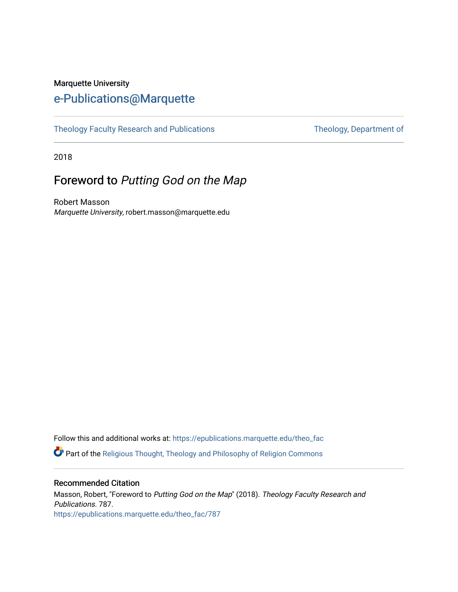## Marquette University [e-Publications@Marquette](https://epublications.marquette.edu/)

[Theology Faculty Research and Publications](https://epublications.marquette.edu/theo_fac) Theology, Department of

2018

# Foreword to Putting God on the Map

Robert Masson Marquette University, robert.masson@marquette.edu

Follow this and additional works at: [https://epublications.marquette.edu/theo\\_fac](https://epublications.marquette.edu/theo_fac?utm_source=epublications.marquette.edu%2Ftheo_fac%2F787&utm_medium=PDF&utm_campaign=PDFCoverPages)  **P** Part of the Religious Thought, Theology and Philosophy of Religion Commons

## Recommended Citation

Masson, Robert, "Foreword to Putting God on the Map" (2018). Theology Faculty Research and Publications. 787. [https://epublications.marquette.edu/theo\\_fac/787](https://epublications.marquette.edu/theo_fac/787?utm_source=epublications.marquette.edu%2Ftheo_fac%2F787&utm_medium=PDF&utm_campaign=PDFCoverPages)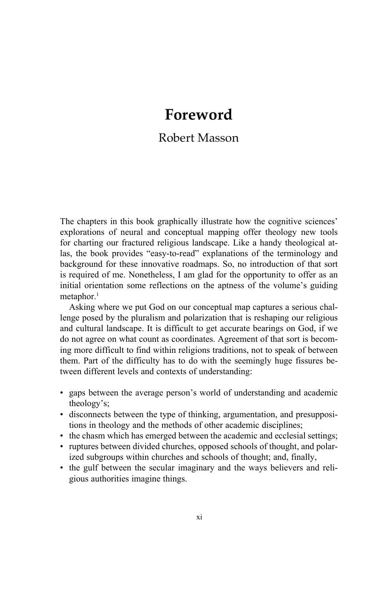# **Foreword**

## Robert Masson

The chapters in this book graphically illustrate how the cognitive sciences' explorations of neural and conceptual mapping offer theology new tools for charting our fractured religious landscape. Like a handy theological atlas, the book provides "easy-to-read" explanations of the terminology and background for these innovative roadmaps. So, no introduction of that sort is required of me. Nonetheless, I am glad for the opportunity to offer as an initial orientation some reflections on the aptness of the volume's guiding metaphor.<sup>1</sup>

Asking where we put God on our conceptual map captures a serious challenge posed by the pluralism and polarization that is reshaping our religious and cultural landscape. It is difficult to get accurate bearings on God, if we do not agree on what count as coordinates. Agreement of that sort is becoming more difficult to find within religions traditions, not to speak of between them. Part of the difficulty has to do with the seemingly huge fissures between different levels and contexts of understanding:

- gaps between the average person's world of understanding and academic theology's;
- Created the integral set of the chase of the chase of the chase which on the chase which continues between the gulf between gious authorities • disconnects between the type of thinking, argumentation, and presuppositions in theology and the methods of other academic disciplines;
	- the chasm which has emerged between the academic and ecclesial settings;
	- ruptures between divided churches, opposed schools of thought, and polarized subgroups within churches and schools of thought; and, finally,
	- the gulf between the secular imaginary and the ways believers and religious authorities imagine things.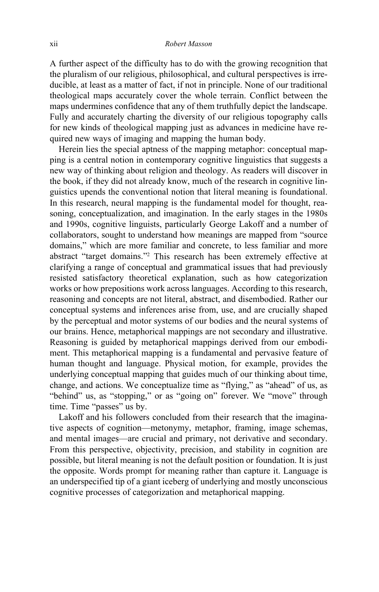A further aspect of the difficulty has to do with the growing recognition that the pluralism of our religious, philosophical, and cultural perspectives is irreducible, at least as a matter of fact, if not in principle. None of our traditional theological maps accurately cover the whole terrain. Conflict between the maps undermines confidence that any of them truthfully depict the landscape. Fully and accurately charting the diversity of our religious topography calls for new kinds of theological mapping just as advances in medicine have required new ways of imaging and mapping the human body.

Herein lies the special aptness of the mapping metaphor: conceptual mapping is a central notion in contemporary cognitive linguistics that suggests a new way of thinking about religion and theology. As readers will discover in the book, if they did not already know, much of the research in cognitive linguistics upends the conventional notion that literal meaning is foundational. In this research, neural mapping is the fundamental model for thought, reasoning, conceptualization, and imagination. In the early stages in the 1980s and 1990s, cognitive linguists, particularly George Lakoff and a number of collaborators, sought to understand how meanings are mapped from "source domains," which are more familiar and concrete, to less familiar and more abstract "target domains."2 This research has been extremely effective at clarifying a range of conceptual and grammatical issues that had previously resisted satisfactory theoretical explanation, such as how categorization works or how prepositions work across languages. According to this research, reasoning and concepts are not literal, abstract, and disembodied. Rather our conceptual systems and inferences arise from, use, and are crucially shaped by the perceptual and motor systems of our bodies and the neural systems of our brains. Hence, metaphorical mappings are not secondary and illustrative. Reasoning is guided by metaphorical mappings derived from our embodiment. This metaphorical mapping is a fundamental and pervasive feature of human thought and language. Physical motion, for example, provides the underlying conceptual mapping that guides much of our thinking about time, change, and actions. We conceptualize time as "flying," as "ahead" of us, as "behind" us, as "stopping," or as "going on" forever. We "move" through time. Time "passes" us by.

change, and actions<br>
"behind" us, as "st<br>
time. Time "passes"<br>
Lakoff and his fo<br>
tive aspects of cog<br>
and mental images-<br>
From this perspect<br>
possible, but literal<br>
the opposite. Word:<br>
an underspecified ti<br>
cognitive pro Lakoff and his followers concluded from their research that the imaginative aspects of cognition—metonymy, metaphor, framing, image schemas, and mental images—are crucial and primary, not derivative and secondary. From this perspective, objectivity, precision, and stability in cognition are possible, but literal meaning is not the default position or foundation. It is just the opposite. Words prompt for meaning rather than capture it. Language is an underspecified tip of a giant iceberg of underlying and mostly unconscious cognitive processes of categorization and metaphorical mapping.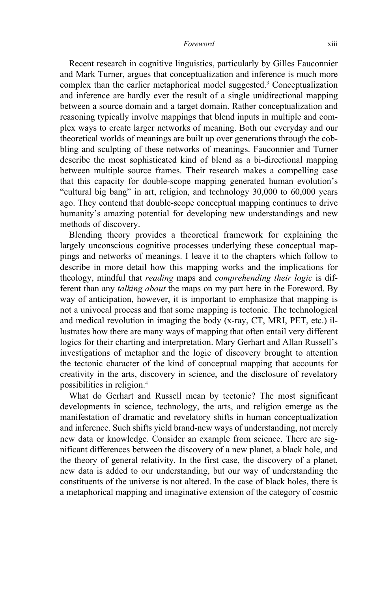#### *Foreword* xiii

Recent research in cognitive linguistics, particularly by Gilles Fauconnier and Mark Turner, argues that conceptualization and inference is much more complex than the earlier metaphorical model suggested.3 Conceptualization and inference are hardly ever the result of a single unidirectional mapping between a source domain and a target domain. Rather conceptualization and reasoning typically involve mappings that blend inputs in multiple and complex ways to create larger networks of meaning. Both our everyday and our theoretical worlds of meanings are built up over generations through the cobbling and sculpting of these networks of meanings. Fauconnier and Turner describe the most sophisticated kind of blend as a bi-directional mapping between multiple source frames. Their research makes a compelling case that this capacity for double-scope mapping generated human evolution's "cultural big bang" in art, religion, and technology 30,000 to 60,000 years ago. They contend that double-scope conceptual mapping continues to drive humanity's amazing potential for developing new understandings and new methods of discovery.

Blending theory provides a theoretical framework for explaining the largely unconscious cognitive processes underlying these conceptual mappings and networks of meanings. I leave it to the chapters which follow to describe in more detail how this mapping works and the implications for theology, mindful that *reading* maps and *comprehending their logic* is different than any *talking about* the maps on my part here in the Foreword. By way of anticipation, however, it is important to emphasize that mapping is not a univocal process and that some mapping is tectonic. The technological and medical revolution in imaging the body (x-ray, CT, MRI, PET, etc.) illustrates how there are many ways of mapping that often entail very different logics for their charting and interpretation. Mary Gerhart and Allan Russell's investigations of metaphor and the logic of discovery brought to attention the tectonic character of the kind of conceptual mapping that accounts for creativity in the arts, discovery in science, and the disclosure of revelatory possibilities in religion.4

possibilities in re<br>
What do Gerl<br>
developments in<br>
manifestation of<br>
and inference. Su<br>
new data or kno<br>
nificant difference<br>
the theory of ge<br>
new data is adde<br>
constituents of th<br>
a metaphorical m What do Gerhart and Russell mean by tectonic? The most significant developments in science, technology, the arts, and religion emerge as the manifestation of dramatic and revelatory shifts in human conceptualization and inference. Such shifts yield brand-new ways of understanding, not merely new data or knowledge. Consider an example from science. There are significant differences between the discovery of a new planet, a black hole, and the theory of general relativity. In the first case, the discovery of a planet, new data is added to our understanding, but our way of understanding the constituents of the universe is not altered. In the case of black holes, there is a metaphorical mapping and imaginative extension of the category of cosmic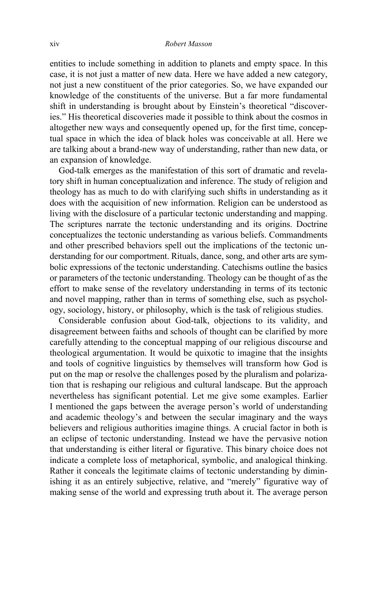entities to include something in addition to planets and empty space. In this case, it is not just a matter of new data. Here we have added a new category, not just a new constituent of the prior categories. So, we have expanded our knowledge of the constituents of the universe. But a far more fundamental shift in understanding is brought about by Einstein's theoretical "discoveries." His theoretical discoveries made it possible to think about the cosmos in altogether new ways and consequently opened up, for the first time, conceptual space in which the idea of black holes was conceivable at all. Here we are talking about a brand-new way of understanding, rather than new data, or an expansion of knowledge.

God-talk emerges as the manifestation of this sort of dramatic and revelatory shift in human conceptualization and inference. The study of religion and theology has as much to do with clarifying such shifts in understanding as it does with the acquisition of new information. Religion can be understood as living with the disclosure of a particular tectonic understanding and mapping. The scriptures narrate the tectonic understanding and its origins. Doctrine conceptualizes the tectonic understanding as various beliefs. Commandments and other prescribed behaviors spell out the implications of the tectonic understanding for our comportment. Rituals, dance, song, and other arts are symbolic expressions of the tectonic understanding. Catechisms outline the basics or parameters of the tectonic understanding. Theology can be thought of as the effort to make sense of the revelatory understanding in terms of its tectonic and novel mapping, rather than in terms of something else, such as psychology, sociology, history, or philosophy, which is the task of religious studies.

The market on that is reshapped<br>nevertheless has signted the pay-<br>and academic theol<br>believers and religion<br>an eclipse of tector<br>that understanding<br>indicate a complete<br>Rather it conceals t<br>ishing it as an entin<br>making sens Considerable confusion about God-talk, objections to its validity, and disagreement between faiths and schools of thought can be clarified by more carefully attending to the conceptual mapping of our religious discourse and theological argumentation. It would be quixotic to imagine that the insights and tools of cognitive linguistics by themselves will transform how God is put on the map or resolve the challenges posed by the pluralism and polarization that is reshaping our religious and cultural landscape. But the approach nevertheless has significant potential. Let me give some examples. Earlier I mentioned the gaps between the average person's world of understanding and academic theology's and between the secular imaginary and the ways believers and religious authorities imagine things. A crucial factor in both is an eclipse of tectonic understanding. Instead we have the pervasive notion that understanding is either literal or figurative. This binary choice does not indicate a complete loss of metaphorical, symbolic, and analogical thinking. Rather it conceals the legitimate claims of tectonic understanding by diminishing it as an entirely subjective, relative, and "merely" figurative way of making sense of the world and expressing truth about it. The average person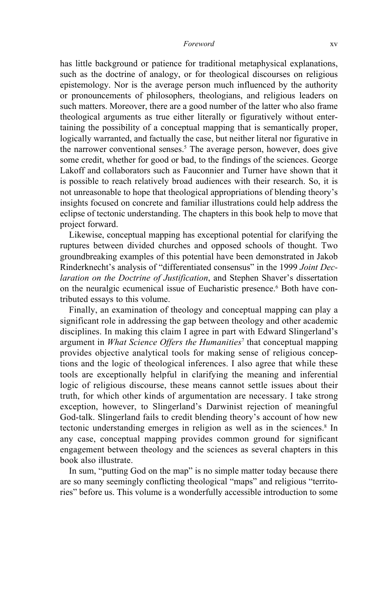#### *Foreword* xv

has little background or patience for traditional metaphysical explanations, such as the doctrine of analogy, or for theological discourses on religious epistemology. Nor is the average person much influenced by the authority or pronouncements of philosophers, theologians, and religious leaders on such matters. Moreover, there are a good number of the latter who also frame theological arguments as true either literally or figuratively without entertaining the possibility of a conceptual mapping that is semantically proper, logically warranted, and factually the case, but neither literal nor figurative in the narrower conventional senses.<sup>5</sup> The average person, however, does give some credit, whether for good or bad, to the findings of the sciences. George Lakoff and collaborators such as Fauconnier and Turner have shown that it is possible to reach relatively broad audiences with their research. So, it is not unreasonable to hope that theological appropriations of blending theory's insights focused on concrete and familiar illustrations could help address the eclipse of tectonic understanding. The chapters in this book help to move that project forward.

Likewise, conceptual mapping has exceptional potential for clarifying the ruptures between divided churches and opposed schools of thought. Two groundbreaking examples of this potential have been demonstrated in Jakob Rinderknecht's analysis of "differentiated consensus" in the 1999 *Joint Declaration on the Doctrine of Justification*, and Stephen Shaver's dissertation on the neuralgic ecumenical issue of Eucharistic presence.<sup>6</sup> Both have contributed essays to this volume.

From marquet or religious<br>truth, for which<br>exception, howe<br>God-talk. Slinge<br>tectonic underst:<br>any case, conce<br>engagement bet<br>book also illustr<br>In sum, "puttii<br>are so many seer<br>ries" before us. T Finally, an examination of theology and conceptual mapping can play a significant role in addressing the gap between theology and other academic disciplines. In making this claim I agree in part with Edward Slingerland's argument in *What Science Offers the Humanities*<sup>7</sup> that conceptual mapping provides objective analytical tools for making sense of religious conceptions and the logic of theological inferences. I also agree that while these tools are exceptionally helpful in clarifying the meaning and inferential logic of religious discourse, these means cannot settle issues about their truth, for which other kinds of argumentation are necessary. I take strong exception, however, to Slingerland's Darwinist rejection of meaningful God-talk. Slingerland fails to credit blending theory's account of how new tectonic understanding emerges in religion as well as in the sciences.<sup>8</sup> In any case, conceptual mapping provides common ground for significant engagement between theology and the sciences as several chapters in this book also illustrate.

In sum, "putting God on the map" is no simple matter today because there are so many seemingly conflicting theological "maps" and religious "territories" before us. This volume is a wonderfully accessible introduction to some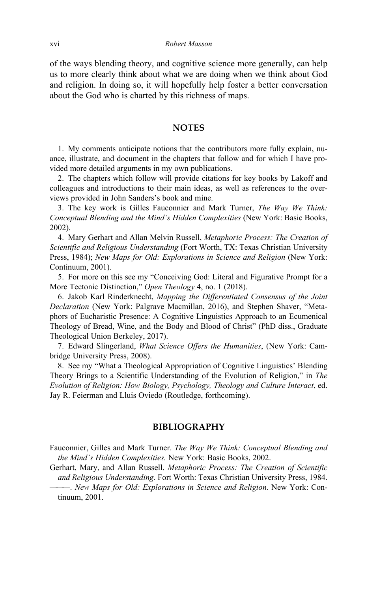of the ways blending theory, and cognitive science more generally, can help us to more clearly think about what we are doing when we think about God and religion. In doing so, it will hopefully help foster a better conversation about the God who is charted by this richness of maps.

### **NOTES**

1. My comments anticipate notions that the contributors more fully explain, nuance, illustrate, and document in the chapters that follow and for which I have provided more detailed arguments in my own publications.

2. The chapters which follow will provide citations for key books by Lakoff and colleagues and introductions to their main ideas, as well as references to the overviews provided in John Sanders's book and mine.

3. The key work is Gilles Fauconnier and Mark Turner, *The Way We Think: Conceptual Blending and the Mind's Hidden Complexities* (New York: Basic Books, 2002).

4. Mary Gerhart and Allan Melvin Russell, *Metaphoric Process: The Creation of Scientific and Religious Understanding* (Fort Worth, TX: Texas Christian University Press, 1984); *New Maps for Old: Explorations in Science and Religion* (New York: Continuum, 2001).

5. For more on this see my "Conceiving God: Literal and Figurative Prompt for a More Tectonic Distinction," *Open Theology* 4, no. 1 (2018).

6. Jakob Karl Rinderknecht, *Mapping the Differentiated Consensus of the Joint Declaration* (New York: Palgrave Macmillan, 2016), and Stephen Shaver, "Metaphors of Eucharistic Presence: A Cognitive Linguistics Approach to an Ecumenical Theology of Bread, Wine, and the Body and Blood of Christ" (PhD diss., Graduate Theological Union Berkeley, 2017).

7. Edward Slingerland, *What Science Offers the Humanities*, (New York: Cambridge University Press, 2008).

8. See my "What a Theological Appropriation of Cognitive Linguistics' Blending Theory Brings to a Scientific Understanding of the Evolution of Religion," in *The Evolution of Religion: How Biology, Psychology, Theology and Culture Interact*, ed. Jay R. Feierman and Lluis Oviedo (Routledge, forthcoming).

### **BIBLIOGRAPHY**

Fauconnier, Gilles and Mark Turner. *The Way We Think: Conceptual Blending and the Mind's Hidden Complexities.* New York: Basic Books, 2002.

Evolution of Religion.<br>
Jay R. Feierman and 1<br>
Fauconnier, Gilles an<br>
the Mind's Hidden<br>
Gerhart, Mary, and *A*<br>
and Religious Unden<br>
Whaps fortinuum, 2001. Gerhart, Mary, and Allan Russell. *Metaphoric Process: The Creation of Scientific and Religious Understanding*. Fort Worth: Texas Christian University Press, 1984. ———. *New Maps for Old: Explorations in Science and Religion*. New York: Con-

tinuum, 2001.